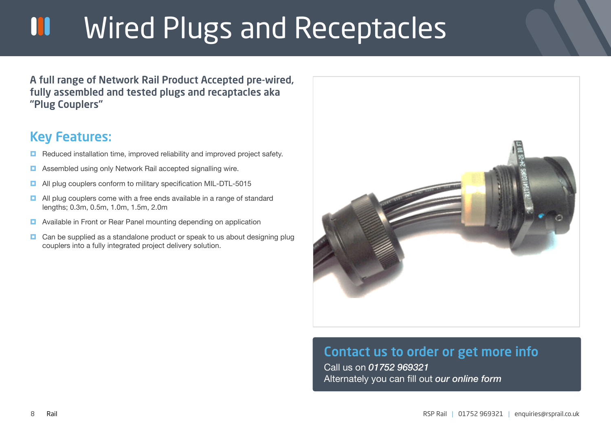## Wired Plugs and Receptacles W

A full range of Network Rail Product Accepted pre-wired, fully assembled and tested plugs and recaptacles aka "Plug Couplers"

## Key Features:

- Reduced installation time, improved reliability and improved project safety.
- **Assembled using only Network Rail accepted signalling wire.**
- **All plug couplers conform to military specification MIL-DTL-5015**
- **E** All plug couplers come with a free ends available in a range of standard lengths; 0.3m, 0.5m, 1.0m, 1.5m, 2.0m
- **E** Available in Front or Rear Panel mounting depending on application
- **D** Can be supplied as a standalone product or speak to us about designing plug couplers into a fully integrated project delivery solution.



## Contact us to order or get more info

Call us on *01752 969321*  Alternately you can fill out *our online form*